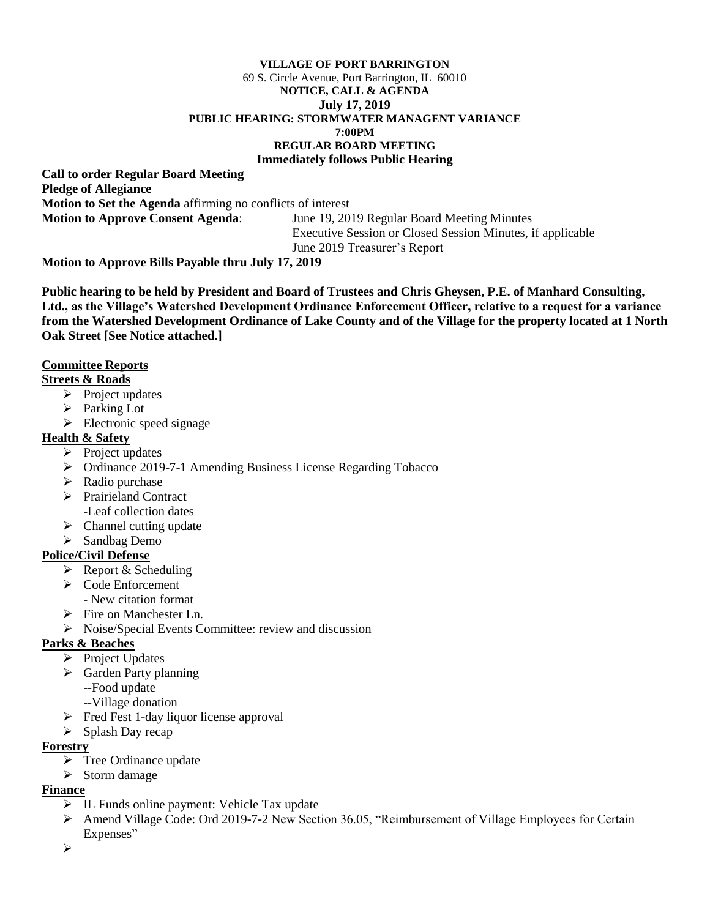#### **VILLAGE OF PORT BARRINGTON** 69 S. Circle Avenue, Port Barrington, IL 60010 **NOTICE, CALL & AGENDA July 17, 2019 PUBLIC HEARING: STORMWATER MANAGENT VARIANCE 7:00PM REGULAR BOARD MEETING Immediately follows Public Hearing**

**Call to order Regular Board Meeting Pledge of Allegiance Motion to Set the Agenda** affirming no conflicts of interest **Motion to Approve Consent Agenda**: June 19, 2019 Regular Board Meeting Minutes

Executive Session or Closed Session Minutes, if applicable June 2019 Treasurer's Report

**Motion to Approve Bills Payable thru July 17, 2019**

**Public hearing to be held by President and Board of Trustees and Chris Gheysen, P.E. of Manhard Consulting, Ltd., as the Village's Watershed Development Ordinance Enforcement Officer, relative to a request for a variance from the Watershed Development Ordinance of Lake County and of the Village for the property located at 1 North Oak Street [See Notice attached.]**

### **Committee Reports**

### **Streets & Roads**

- $\triangleright$  Project updates
- ➢ Parking Lot
- $\triangleright$  Electronic speed signage

### **Health & Safety**

- ➢ Project updates
- ➢ Ordinance 2019-7-1 Amending Business License Regarding Tobacco
- $\triangleright$  Radio purchase
- ➢ Prairieland Contract -Leaf collection dates
- $\triangleright$  Channel cutting update
- ➢ Sandbag Demo

### **Police/Civil Defense**

- $\triangleright$  Report & Scheduling
- ➢ Code Enforcement
	- New citation format
- ➢ Fire on Manchester Ln.
- ➢ Noise/Special Events Committee: review and discussion

## **Parks & Beaches**

- ➢ Project Updates
- ➢ Garden Party planning
	- --Food update
	- --Village donation
- ➢ Fred Fest 1-day liquor license approval
- ➢ Splash Day recap

### **Forestry**

- ➢ Tree Ordinance update
- ➢ Storm damage

### **Finance**

- ➢ IL Funds online payment: Vehicle Tax update
- ➢ Amend Village Code: Ord 2019-7-2 New Section 36.05, "Reimbursement of Village Employees for Certain Expenses"
- ➢